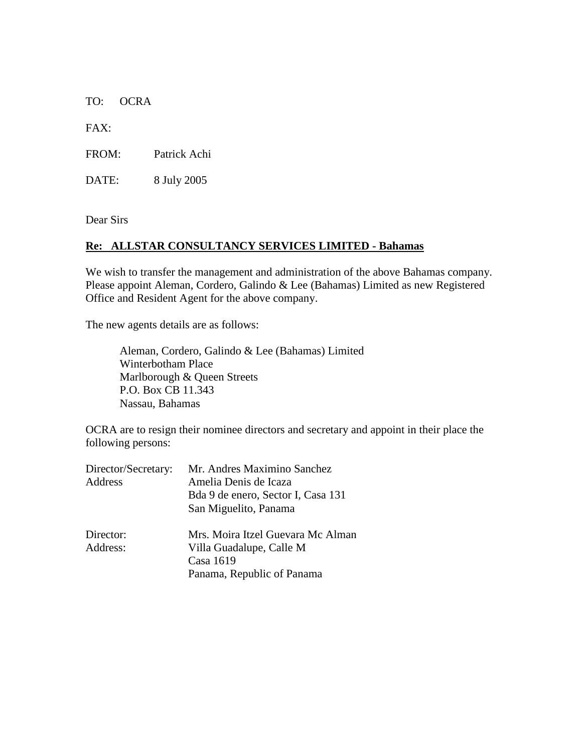TO: OCRA

FAX:

FROM: Patrick Achi

DATE: 8 July 2005

Dear Sirs

## **Re: ALLSTAR CONSULTANCY SERVICES LIMITED - Bahamas**

We wish to transfer the management and administration of the above Bahamas company. Please appoint Aleman, Cordero, Galindo & Lee (Bahamas) Limited as new Registered Office and Resident Agent for the above company.

The new agents details are as follows:

Aleman, Cordero, Galindo & Lee (Bahamas) Limited Winterbotham Place Marlborough & Queen Streets P.O. Box CB 11.343 Nassau, Bahamas

OCRA are to resign their nominee directors and secretary and appoint in their place the following persons:

| Director/Secretary: | Mr. Andres Maximino Sanchez        |
|---------------------|------------------------------------|
| Address             | Amelia Denis de Icaza              |
|                     | Bda 9 de enero, Sector I, Casa 131 |
|                     | San Miguelito, Panama              |
| Director:           | Mrs. Moira Itzel Guevara Mc Alman  |
| Address:            | Villa Guadalupe, Calle M           |
|                     | Casa 1619                          |
|                     | Panama, Republic of Panama         |